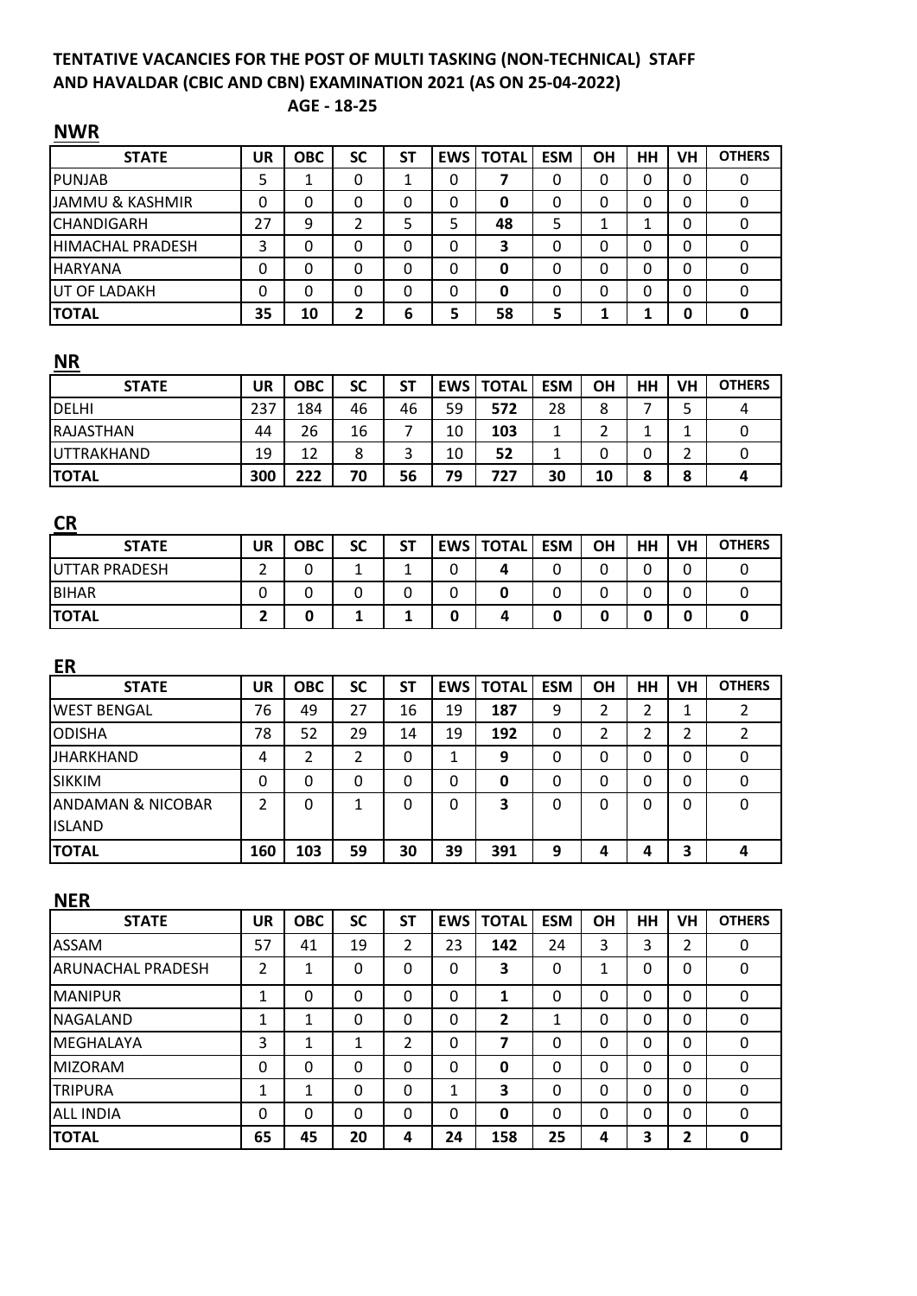# **TENTATIVE VACANCIES FOR THE POST OF MULTI TASKING (NON-TECHNICAL) STAFF AND HAVALDAR (CBIC AND CBN) EXAMINATION 2021 (AS ON 25-04-2022)**

**AGE - 18-25**

| .                          |           |            |           |           |   |                  |            |           |    |          |               |
|----------------------------|-----------|------------|-----------|-----------|---|------------------|------------|-----------|----|----------|---------------|
| <b>STATE</b>               | <b>UR</b> | <b>OBC</b> | <b>SC</b> | <b>ST</b> |   | <b>EWS TOTAL</b> | <b>ESM</b> | <b>OH</b> | HH | VH       | <b>OTHERS</b> |
| <b>PUNJAB</b>              | 5         |            | 0         |           | 0 |                  | 0          | 0         | 0  | 0        | 0             |
| <b>JAMMU &amp; KASHMIR</b> | 0         | 0          | 0         | 0         | 0 | 0                | 0          |           | 0  | 0        |               |
| <b>CHANDIGARH</b>          | 27        | 9          |           | 5         | 5 | 48               | 5          |           |    | $\Omega$ |               |
| <b>HIMACHAL PRADESH</b>    | 3         | 0          | 0         | 0         | 0 | 3                | 0          | 0         | 0  | 0        |               |
| <b>HARYANA</b>             | 0         | 0          | 0         | 0         | 0 | 0                | 0          |           | 0  | 0        |               |
| <b>UT OF LADAKH</b>        | 0         | 0          | 0         | 0         | 0 | 0                | 0          | 0         | 0  | 0        |               |
| <b>TOTAL</b>               | 35        | 10         | 2         | 6         | 5 | 58               | 5          |           |    | 0        |               |

## **NR**

| <b>STATE</b>     | UR  | <b>OBC</b> | <b>SC</b> | SΤ | EWS | <b>TOTAL</b> | <b>ESM</b> | OH | HH | VH | <b>OTHERS</b> |
|------------------|-----|------------|-----------|----|-----|--------------|------------|----|----|----|---------------|
| DELHI            | 237 | 184        | 46        | 46 | 59  | 572          | 28         | 8  |    | ÷  |               |
| <b>RAJASTHAN</b> | 44  | 26         | 16        |    | 10  | 103          |            |    |    |    |               |
| UTTRAKHAND       | 19  | 12         | 8         |    | 10  | 52           |            |    |    |    |               |
| <b>ITOTAL</b>    | 300 | 222        | 70        | 56 | 79  | 727          | 30         | 10 |    | 8  |               |

| <b>CR</b>            |    |            |           |    |   |                    |            |           |    |    |               |
|----------------------|----|------------|-----------|----|---|--------------------|------------|-----------|----|----|---------------|
| <b>STATE</b>         | UR | <b>OBC</b> | <b>SC</b> | SΤ |   | <b>EWS   TOTAL</b> | <b>ESM</b> | <b>OH</b> | HH | VH | <b>OTHERS</b> |
| <b>UTTAR PRADESH</b> | ←  | U          |           |    | 0 |                    | 0          |           |    |    |               |
| <b>BIHAR</b>         | 0  | 0          |           |    | 0 |                    | 0          |           |    |    |               |
| <b>TOTAL</b>         |    | 0          |           |    | u | 4                  | 0          |           |    | 0  |               |

| <b>ER</b>          |     |            |           |    |            |              |            |    |    |    |               |
|--------------------|-----|------------|-----------|----|------------|--------------|------------|----|----|----|---------------|
| <b>STATE</b>       | UR  | <b>OBC</b> | <b>SC</b> | SΤ | <b>EWS</b> | <b>TOTAL</b> | <b>ESM</b> | ΟH | HH | VH | <b>OTHERS</b> |
| lWEST BENGAL       | 76  | 49         | 27        | 16 | 19         | 187          | 9          | ำ  | า  |    |               |
| <b>ODISHA</b>      | 78  | 52         | 29        | 14 | 19         | 192          | 0          | ว  | า  | ำ  |               |
| <b>JHARKHAND</b>   | 4   | 2          | 2         | 0  | J.         | 9            | 0          | 0  | ი  | 0  |               |
| <b>SIKKIM</b>      | 0   | 0          | 0         | 0  | 0          | 0            | 0          | 0  | ი  | 0  |               |
| IANDAMAN & NICOBAR | 2   | 0          |           | 0  | $\Omega$   | 3            | 0          | 0  | ი  | 0  | 0             |
| <b>IISLAND</b>     |     |            |           |    |            |              |            |    |    |    |               |
| <b>TOTAL</b>       | 160 | 103        | 59        | 30 | 39         | 391          | 9          | Δ  |    | 3  |               |

#### **NER**

| <b>STATE</b>             | UR     | <b>OBC</b> | <b>SC</b> | <b>ST</b>      | <b>EWS</b>   | <b>TOTAL</b>   | <b>ESM</b> | ΟH       | <b>HH</b> | <b>VH</b>       | <b>OTHERS</b> |
|--------------------------|--------|------------|-----------|----------------|--------------|----------------|------------|----------|-----------|-----------------|---------------|
| ASSAM                    | 57     | 41         | 19        | $\overline{2}$ | 23           | 142            | 24         | 3        | 3         | ำ<br>$\epsilon$ | 0             |
| <b>ARUNACHAL PRADESH</b> | 2      | 1          | 0         | 0              | $\mathbf{0}$ | 3              | 0          | 1        | 0         | 0               | 0             |
| <b>MANIPUR</b>           | 1      | 0          | 0         | $\Omega$       | 0            | 1              | 0          | 0        | 0         | $\Omega$        | 0             |
| <b>NAGALAND</b>          | 1      | 1          | 0         | 0              | 0            | $\overline{2}$ | 1          | 0        | 0         | $\Omega$        | 0             |
| MEGHALAYA                | 3      | 1          | 1         | າ              | 0            | 7              | 0          | 0        | 0         | $\Omega$        | 0             |
| <b>MIZORAM</b>           | 0      | 0          | 0         | 0              | 0            | 0              | 0          | 0        | 0         | $\Omega$        | 0             |
| <b>TRIPURA</b>           | 1<br>┸ | 1          | 0         | 0              | 1            | 3              | 0          | $\Omega$ | 0         | $\Omega$        | 0             |
| <b>ALL INDIA</b>         | 0      | 0          | $\Omega$  | 0              | 0            | 0              | 0          | $\Omega$ | 0         | $\Omega$        | 0             |
| <b>TOTAL</b>             | 65     | 45         | 20        | 4              | 24           | 158            | 25         | 4        | 3         | 2               | 0             |

## **NWR**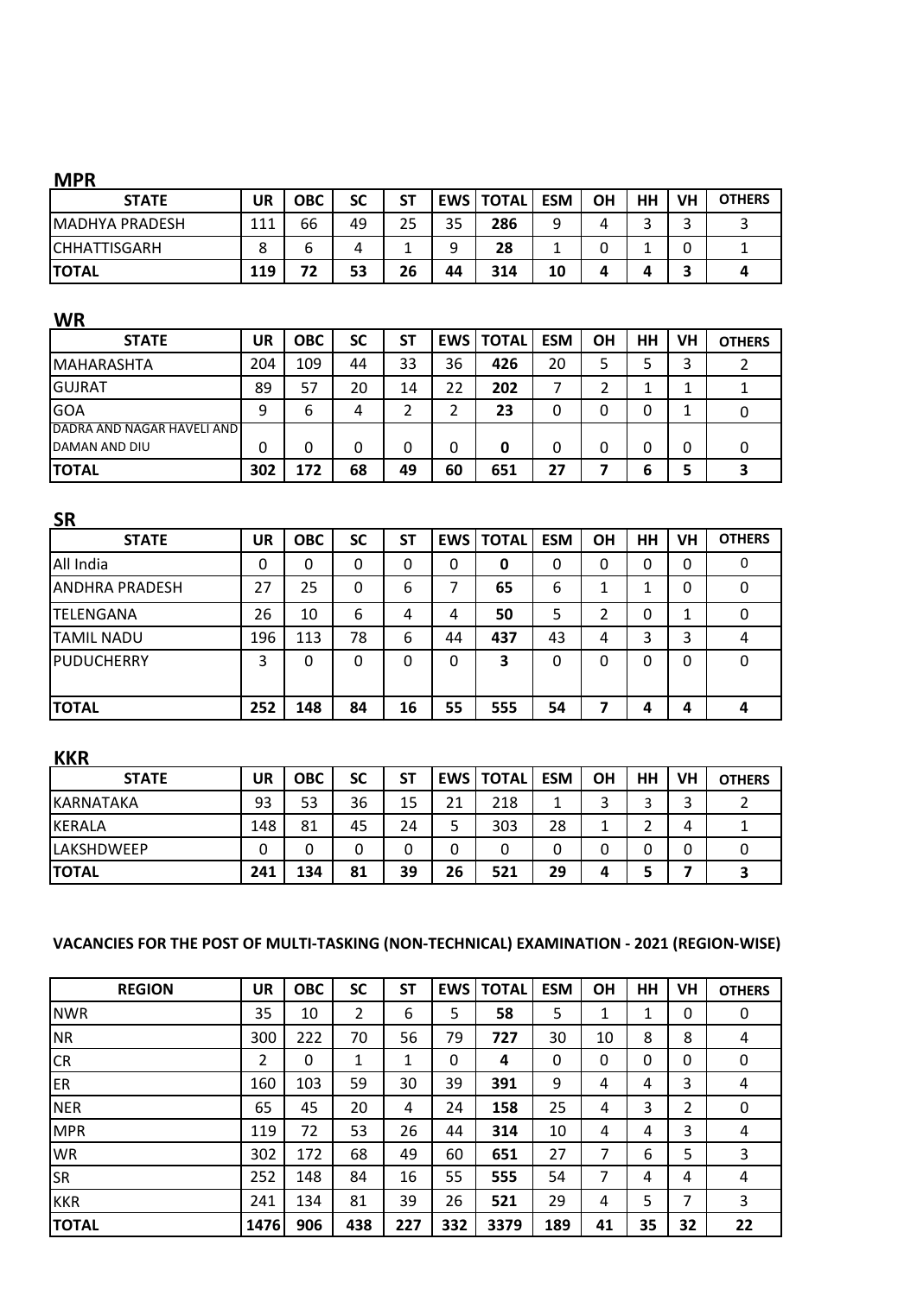### **MPR**

| <b>STATE</b>          | UR  | ОВС | SC | <b>ST</b> |    | <b>EWS   TOTAL</b> | <b>ESM</b> | ΟH | HH | VH | <b>OTHERS</b> |
|-----------------------|-----|-----|----|-----------|----|--------------------|------------|----|----|----|---------------|
| <b>MADHYA PRADESH</b> | 111 | 66  | 49 | 25        | 35 | 286                | 9          | 4  |    | ⌒  |               |
| <b>CHHATTISGARH</b>   | o   | ь   | 4  |           | a  | 28                 |            |    |    | 0  |               |
| <b>TOTAL</b>          | 119 | フつ  | 53 | 26        | 44 | 314                | 10         | 4  |    |    |               |

#### **WR**

| <b>STATE</b>               | UR  | <b>OBC</b> | <b>SC</b> | <b>ST</b> | EWS I | <b>TOTAL</b> | <b>ESM</b> | ΟH | HН | VH | <b>OTHERS</b> |
|----------------------------|-----|------------|-----------|-----------|-------|--------------|------------|----|----|----|---------------|
| IMAHARASHTA                | 204 | 109        | 44        | 33        | 36    | 426          | 20         |    |    | 3  |               |
| IGUJRAT                    | 89  | 57         | 20        | 14        | 22    | 202          |            |    |    |    |               |
| GOA                        | 9   | 6          | 4         |           |       | 23           | 0          |    |    |    |               |
| DADRA AND NAGAR HAVELI AND |     |            |           |           |       |              |            |    |    |    |               |
| <b>DAMAN AND DIU</b>       | 0   | 0          | 0         | 0         | 0     | 0            | 0          |    |    | 0  |               |
| <b>TOTAL</b>               | 302 | 172        | 68        | 49        | 60    | 651          | 27         |    | b  |    |               |

| <b>SR</b>             |           |            |           |           |    |                    |            |           |    |          |               |
|-----------------------|-----------|------------|-----------|-----------|----|--------------------|------------|-----------|----|----------|---------------|
| <b>STATE</b>          | <b>UR</b> | <b>OBC</b> | <b>SC</b> | <b>ST</b> |    | <b>EWS   TOTAL</b> | <b>ESM</b> | <b>OH</b> | HH | VH       | <b>OTHERS</b> |
| All India             | 0         | 0          | 0         | 0         | 0  | 0                  | 0          | 0         | 0  | 0        | 0             |
| <b>ANDHRA PRADESH</b> | 27        | 25         | 0         | 6         | 7  | 65                 | 6          | 1         | л  | 0        | 0             |
| <b>TELENGANA</b>      | 26        | 10         | 6         | 4         | 4  | 50                 | 5          | າ         | 0  | 1        |               |
| <b>TAMIL NADU</b>     | 196       | 113        | 78        | 6         | 44 | 437                | 43         | 4         | 3  | 3        | 4             |
| PUDUCHERRY            | 3         | 0          | 0         | 0         | 0  | 3                  | $\Omega$   | 0         | 0  | $\Omega$ | 0             |
| <b>TOTAL</b>          | 252       | 148        | 84        | 16        | 55 | 555                | 54         | 7         |    |          |               |

### **KKR**

| <b>STATE</b>      | UR  | ОВС | SC | SΤ |    | <b>EWS   TOTAL</b> | <b>ESM</b> | OH            | HH | VH | <b>OTHERS</b> |
|-------------------|-----|-----|----|----|----|--------------------|------------|---------------|----|----|---------------|
| KARNATAKA         | 93  | 53  | 36 | 15 | 21 | 218                | 1          | 2<br>ر        |    |    |               |
| KERALA            | 148 | 81  | 45 | 24 |    | 303                | 28         | л<br><b>.</b> |    | 4  |               |
| <b>LAKSHDWEEP</b> | 0   | 0   |    | 0  |    | 0                  |            | 0             |    |    |               |
| <b>TOTAL</b>      | 241 | 134 | 81 | 39 | 26 | 521                | 29         | Δ             |    |    |               |

### **VACANCIES FOR THE POST OF MULTI-TASKING (NON-TECHNICAL) EXAMINATION - 2021 (REGION-WISE)**

| <b>REGION</b>   | <b>UR</b> | <b>OBC</b> | <b>SC</b> | <b>ST</b> | <b>EWS</b> | <b>TOTAL</b> | <b>ESM</b> | <b>OH</b> | HH | VH | <b>OTHERS</b> |
|-----------------|-----------|------------|-----------|-----------|------------|--------------|------------|-----------|----|----|---------------|
| <b>NWR</b>      | 35        | 10         | 2         | 6         | 5          | 58           | 5          | 1         | 1  | 0  | 0             |
| <b>NR</b>       | 300       | 222        | 70        | 56        | 79         | 727          | 30         | 10        | 8  | 8  | 4             |
| <b>CR</b>       | 2         | 0          | 1         | 1         | 0          | 4            | 0          | 0         | 0  | 0  | $\mathbf 0$   |
| ER <sup>1</sup> | 160       | 103        | 59        | 30        | 39         | 391          | 9          | 4         | 4  | 3  | 4             |
| <b>NER</b>      | 65        | 45         | 20        | 4         | 24         | 158          | 25         | 4         | 3  | 2  | 0             |
| <b>MPR</b>      | 119       | 72         | 53        | 26        | 44         | 314          | 10         | 4         | 4  | 3  | 4             |
| WR              | 302       | 172        | 68        | 49        | 60         | 651          | 27         | 7         | 6  | 5  | 3             |
| <b>SR</b>       | 252       | 148        | 84        | 16        | 55         | 555          | 54         | 7         | 4  | 4  | 4             |
| <b>KKR</b>      | 241       | 134        | 81        | 39        | 26         | 521          | 29         | 4         | 5  | 7  | 3             |
| <b>TOTAL</b>    | 1476      | 906        | 438       | 227       | 332        | 3379         | 189        | 41        | 35 | 32 | 22            |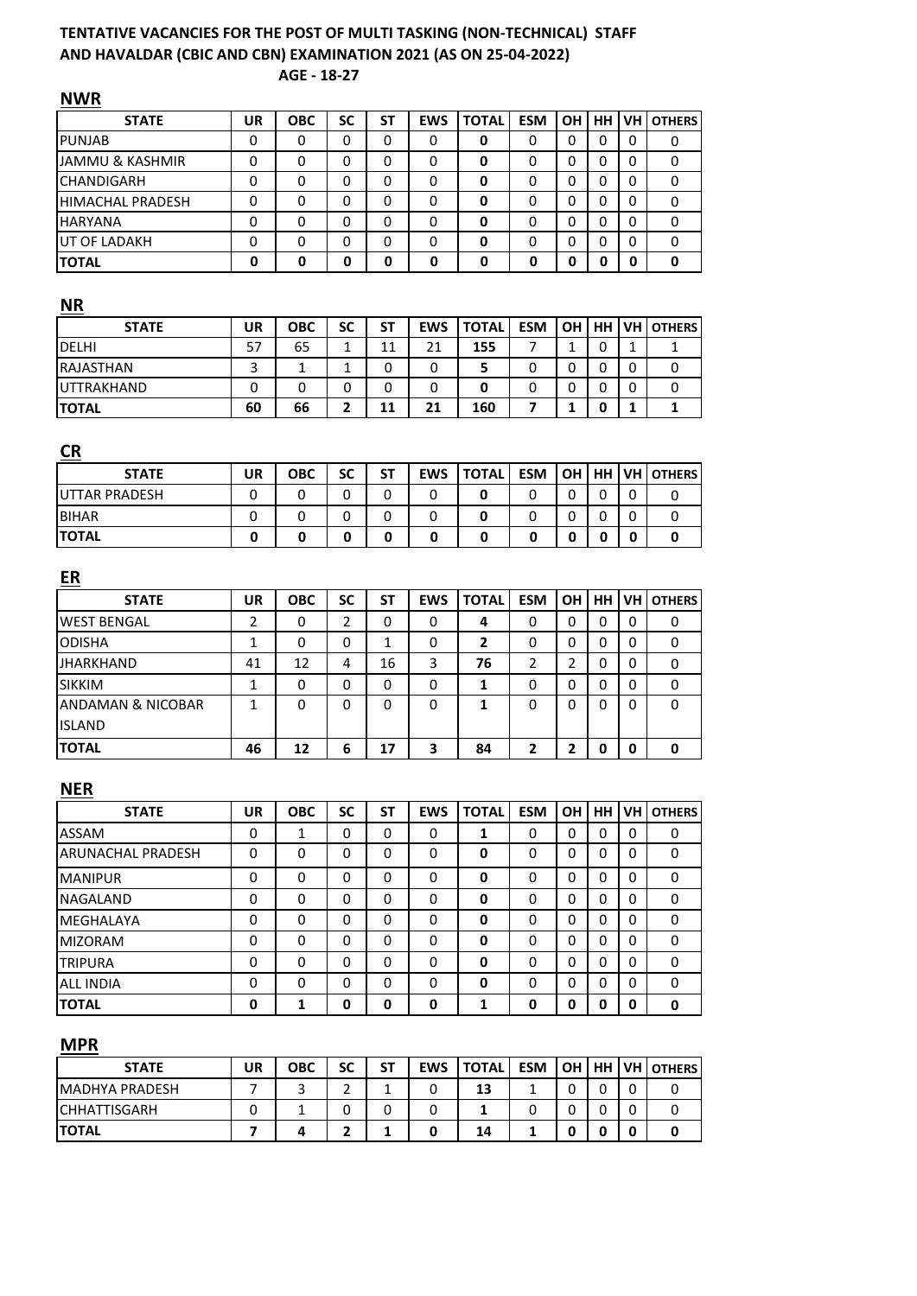# **TENTATIVE VACANCIES FOR THE POST OF MULTI TASKING (NON-TECHNICAL) STAFF AND HAVALDAR (CBIC AND CBN) EXAMINATION 2021 (AS ON 25-04-2022)**

**AGE - 18-27**

| <b>NWR</b>                   |                |              |                |              |            |                |              |                |             |              |               |
|------------------------------|----------------|--------------|----------------|--------------|------------|----------------|--------------|----------------|-------------|--------------|---------------|
| <b>STATE</b>                 | <b>UR</b>      | ОВС          | <b>SC</b>      | <b>ST</b>    | <b>EWS</b> | <b>TOTAL</b>   | <b>ESM</b>   | OH             | HH          | <b>VH</b>    | <b>OTHERS</b> |
| <b>PUNJAB</b>                | 0              | 0            | 0              | 0            | 0          | 0              | 0            | 0              | 0           | 0            | 0             |
| <b>JAMMU &amp; KASHMIR</b>   | 0              | 0            | 0              | 0            | 0          | 0              | 0            | 0              | 0           | 0            | 0             |
| CHANDIGARH                   | 0              | 0            | 0              | 0            | 0          | 0              | 0            | 0              | 0           | 0            | 0             |
| HIMACHAL PRADESH             | 0              | 0            | 0              | 0            | 0          | 0              | 0            | 0              | 0           | 0            | 0             |
| HARYANA                      | 0              | 0            | 0              | 0            | 0          | 0              | 0            | 0              | 0           | 0            | 0             |
| UT OF LADAKH                 | 0              | 0            | 0              | 0            | 0          | 0              | 0            | 0              | 0           | 0            | 0             |
| <b>TOTAL</b>                 | 0              | 0            | 0              | 0            | 0          | 0              | 0            | 0              | $\mathbf 0$ | 0            | 0             |
| <b>NR</b>                    |                |              |                |              |            |                |              |                |             |              |               |
| <b>STATE</b>                 | <b>UR</b>      | <b>OBC</b>   | <b>SC</b>      | <b>ST</b>    | <b>EWS</b> | <b>TOTAL</b>   | <b>ESM</b>   | OH             | <b>HH</b>   | VH           | <b>OTHERS</b> |
| <b>DELHI</b>                 | 57             | 65           | $\mathbf{1}$   | 11           | 21         | 155            | 7            | $\mathbf{1}$   | 0           | $\mathbf{1}$ | 1             |
| RAJASTHAN                    | 3              | 1            | 1              | 0            | 0          | 5              | 0            | 0              | 0           | 0            | 0             |
| UTTRAKHAND                   | 0              | 0            | 0              | 0            | 0          | 0              | 0            | 0              | 0           | 0            | 0             |
| <b>TOTAL</b>                 | 60             | 66           | 2              | 11           | 21         | 160            | 7            | 1              | 0           | 1            | 1             |
| <b>CR</b>                    |                |              |                |              |            |                |              |                |             |              |               |
| <b>STATE</b>                 | <b>UR</b>      | <b>OBC</b>   | <b>SC</b>      | <b>ST</b>    | <b>EWS</b> | <b>TOTAL</b>   | <b>ESM</b>   | <b>OH</b>      | <b>HH</b>   | VH           | <b>OTHERS</b> |
| <b>UTTAR PRADESH</b>         | 0              | 0            | 0              | 0            | 0          | 0              | 0            | 0              | 0           | 0            | 0             |
| <b>BIHAR</b>                 | 0              | 0            | 0              | 0            | 0          | 0              | 0            | 0              | 0           | 0            | 0             |
| <b>TOTAL</b>                 | 0              | 0            | 0              | 0            | 0          | 0              | 0            | 0              | 0           | 0            | 0             |
|                              |                |              |                |              |            |                |              |                |             |              |               |
| ER                           |                |              |                |              |            |                |              |                |             |              |               |
| <b>STATE</b>                 | <b>UR</b>      | <b>OBC</b>   | <b>SC</b>      | SΤ           | <b>EWS</b> | <b>TOTAL</b>   | <b>ESM</b>   | OH             | HH          | VH           | <b>OTHERS</b> |
| <b>WEST BENGAL</b>           | 2              | 0            | $\overline{2}$ | 0            | 0          | 4              | 0            | 0              | 0           | 0            | 0             |
| <b>ODISHA</b>                | $\mathbf{1}$   | 0            | 0              | $\mathbf{1}$ | 0          | $\overline{2}$ | 0            | 0              | 0           | 0            | 0             |
| JHARKHAND                    | 41             | 12           | 4              | 16           | 3          | 76             | 2            | $\overline{2}$ | 0           | 0            | 0             |
| <b>SIKKIM</b>                | 1              | 0            | 0              | 0            | 0          | 1              | 0            | 0              | 0           | 0            | 0             |
| <b>ANDAMAN &amp; NICOBAR</b> | 1              | 0            | 0              | 0            | 0          | 1              | 0            | 0              | 0           | 0            | 0             |
| <b>ISLAND</b>                |                |              |                |              |            |                |              |                |             |              |               |
| <b>TOTAL</b>                 | 46             | 12           | 6              | 17           | 3          | 84             | 2            | $\overline{2}$ | 0           | 0            | 0             |
|                              |                |              |                |              |            |                |              |                |             |              |               |
| <b>NER</b>                   |                |              |                |              |            |                |              |                |             |              |               |
| <b>STATE</b>                 | <b>UR</b>      | <b>OBC</b>   | <b>SC</b>      | <b>ST</b>    | <b>EWS</b> | <b>TOTAL</b>   | <b>ESM</b>   | OH             | <b>HH</b>   | <b>VH</b>    | <b>OTHERS</b> |
| ASSAM                        | 0              | $\mathbf{1}$ | 0              | 0            | 0          | 1              | 0            | $\mathbf 0$    | $\mathbf 0$ | 0            | 0             |
| <b>ARUNACHAL PRADESH</b>     | 0              | 0            | 0              | 0            | 0          | 0              | 0            | 0              | $\mathbf 0$ | 0            | $\mathbf 0$   |
| <b>MANIPUR</b>               | 0              | 0            | 0              | 0            | 0          | 0              | 0            | 0              | 0           | 0            | 0             |
| <b>NAGALAND</b>              | 0              | 0            | 0              | 0            | 0          | 0              | 0            | 0              | 0           | 0            | 0             |
| MEGHALAYA                    | 0              | 0            | 0              | 0            | 0          | 0              | 0            | 0              | 0           | 0            | 0             |
| <b>MIZORAM</b>               | 0              | 0            | 0              | 0            | 0          | 0              | 0            | 0              | 0           | 0            | 0             |
| <b>TRIPURA</b>               | 0              | 0            | 0              | 0            | 0          | 0              | 0            | 0              | 0           | 0            | 0             |
|                              | 0              | 0            | 0              | 0            | 0          | 0              | 0            | 0              | 0           | $\mathbf 0$  | 0             |
| ALL INDIA<br><b>TOTAL</b>    | 0              | $\mathbf{1}$ | $\mathbf 0$    | 0            | 0          | 1              | 0            | 0              | 0           | $\mathbf 0$  | 0             |
|                              |                |              |                |              |            |                |              |                |             |              |               |
| <b>MPR</b>                   |                |              |                |              |            |                |              |                |             |              |               |
| <b>STATE</b>                 | <b>UR</b>      | <b>OBC</b>   | <b>SC</b>      | <b>ST</b>    | <b>EWS</b> | <b>TOTAL</b>   | <b>ESM</b>   | OH             | HH          | VH           | <b>OTHERS</b> |
| MADHYA PRADESH               | $\overline{7}$ | 3            | $\overline{2}$ | $\mathbf{1}$ | 0          | 13             | 1            | $\mathbf 0$    | 0           | 0            | 0             |
| <b>CHHATTISGARH</b>          | 0              | $\mathbf{1}$ | 0              | 0            | 0          | 1              | 0            | 0              | 0           | 0            | 0             |
| <b>TOTAL</b>                 | 7              | 4            | $\mathbf{2}$   | $\mathbf{1}$ | 0          | 14             | $\mathbf{1}$ | 0              | 0           | 0            | 0             |

**TOTAL 7 4 2 1 0 14 1 0 0 0 0**